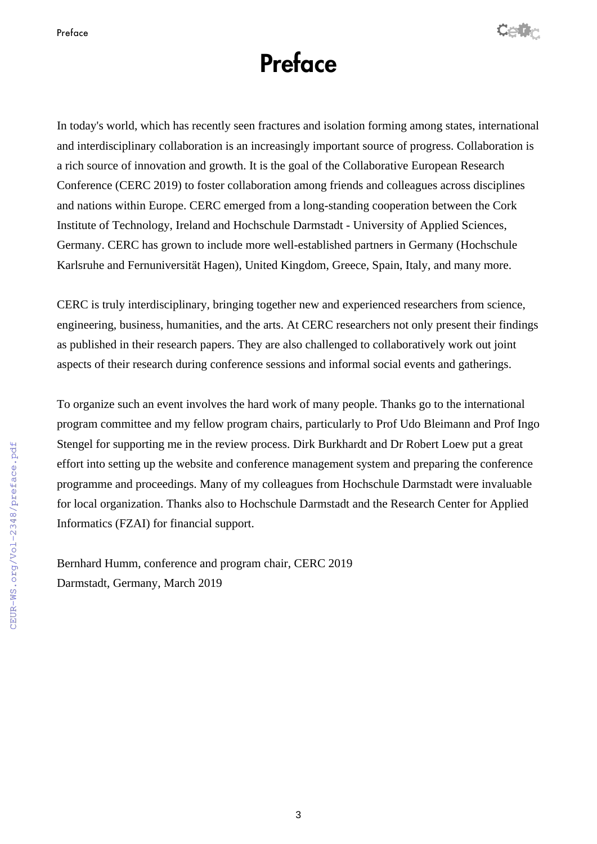

## **Preface**

In today's world, which has recently seen fractures and isolation forming among states, international and interdisciplinary collaboration is an increasingly important source of progress. Collaboration is a rich source of innovation and growth. It is the goal of the Collaborative European Research Conference (CERC 2019) to foster collaboration among friends and colleagues across disciplines and nations within Europe. CERC emerged from a long-standing cooperation between the Cork Institute of Technology, Ireland and Hochschule Darmstadt - University of Applied Sciences, Germany. CERC has grown to include more well-established partners in Germany (Hochschule Karlsruhe and Fernuniversität Hagen), United Kingdom, Greece, Spain, Italy, and many more.

CERC is truly interdisciplinary, bringing together new and experienced researchers from science, engineering, business, humanities, and the arts. At CERC researchers not only present their findings as published in their research papers. They are also challenged to collaboratively work out joint aspects of their research during conference sessions and informal social events and gatherings.

To organize such an event involves the hard work of many people. Thanks go to the international program committee and my fellow program chairs, particularly to Prof Udo Bleimann and Prof Ingo Stengel for supporting me in the review process. Dirk Burkhardt and Dr Robert Loew put a great effort into setting up the website and conference management system and preparing the conference programme and proceedings. Many of my colleagues from Hochschule Darmstadt were invaluable for local organization. Thanks also to Hochschule Darmstadt and the Research Center for Applied Informatics (FZAI) for financial support.

Bernhard Humm, conference and program chair, CERC 2019 Darmstadt, Germany, March 2019